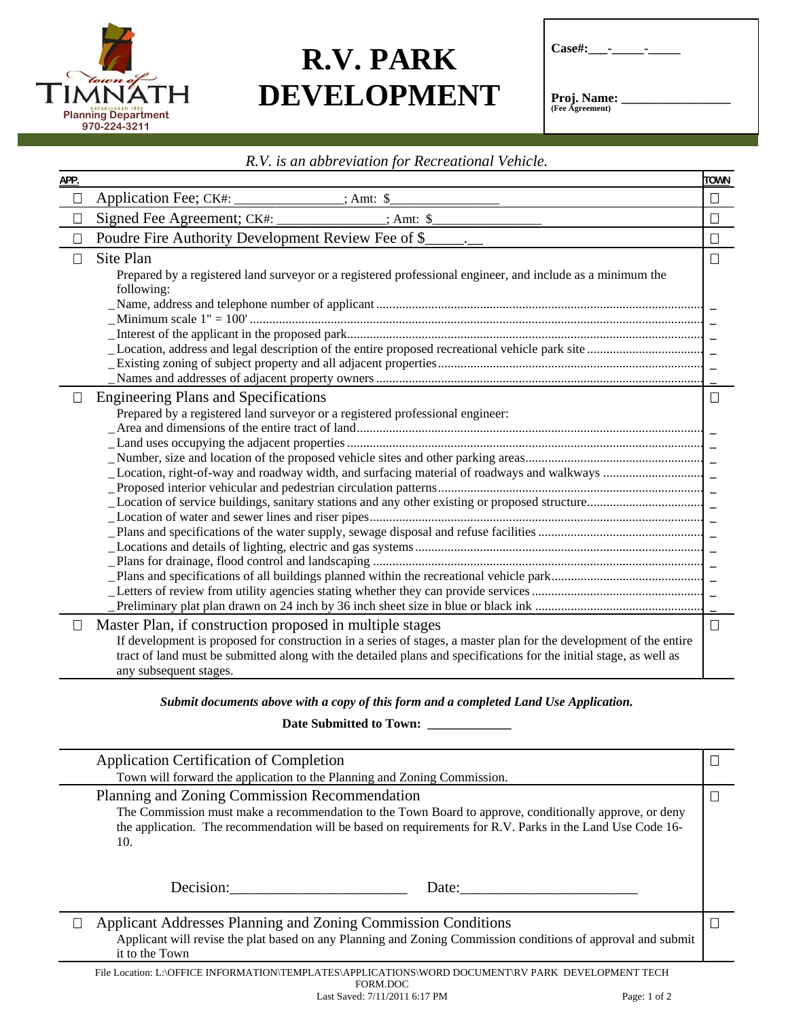

## **R.V. PARK DEVELOPMENT**

| $\text{Case}\#:$ -                    |  |
|---------------------------------------|--|
| <b>Proj. Name:</b><br>(Fee Agreement) |  |

## *R.V. is an abbreviation for Recreational Vehicle.*

| APP.   |                                                                                                                    | <b>TOWN</b> |
|--------|--------------------------------------------------------------------------------------------------------------------|-------------|
| □      | Application Fee; CK#:<br>$\frac{\ }{}$ Amt: \$                                                                     | $\Box$      |
| $\Box$ | Signed Fee Agreement; CK#:<br>$: Amt:$ \$                                                                          | $\Box$      |
| □      | Poudre Fire Authority Development Review Fee of \$                                                                 | $\Box$      |
| $\Box$ | Site Plan                                                                                                          | $\Box$      |
|        | Prepared by a registered land surveyor or a registered professional engineer, and include as a minimum the         |             |
|        | following:                                                                                                         |             |
|        |                                                                                                                    |             |
|        |                                                                                                                    |             |
|        |                                                                                                                    |             |
|        |                                                                                                                    |             |
|        |                                                                                                                    |             |
|        |                                                                                                                    | $\Box$      |
| $\Box$ | <b>Engineering Plans and Specifications</b>                                                                        |             |
|        | Prepared by a registered land surveyor or a registered professional engineer:                                      |             |
|        |                                                                                                                    |             |
|        |                                                                                                                    |             |
|        |                                                                                                                    |             |
|        |                                                                                                                    |             |
|        |                                                                                                                    |             |
|        |                                                                                                                    |             |
|        |                                                                                                                    |             |
|        |                                                                                                                    |             |
|        |                                                                                                                    |             |
|        |                                                                                                                    |             |
|        |                                                                                                                    |             |
|        |                                                                                                                    |             |
| $\Box$ | Master Plan, if construction proposed in multiple stages                                                           | $\Box$      |
|        | If development is proposed for construction in a series of stages, a master plan for the development of the entire |             |
|        | tract of land must be submitted along with the detailed plans and specifications for the initial stage, as well as |             |
|        | any subsequent stages.                                                                                             |             |
|        |                                                                                                                    |             |

*Submit documents above with a copy of this form and a completed Land Use Application.* 

**Date Submitted to Town: \_\_\_\_\_\_\_\_\_\_\_\_\_** 

| Application Certification of Completion<br>Town will forward the application to the Planning and Zoning Commission.                                                                                                                                                                               |        |
|---------------------------------------------------------------------------------------------------------------------------------------------------------------------------------------------------------------------------------------------------------------------------------------------------|--------|
| Planning and Zoning Commission Recommendation<br>The Commission must make a recommendation to the Town Board to approve, conditionally approve, or deny<br>the application. The recommendation will be based on requirements for R.V. Parks in the Land Use Code 16-<br>10.<br>Decision:<br>Date: | $\Box$ |
| <b>Applicant Addresses Planning and Zoning Commission Conditions</b><br>Applicant will revise the plat based on any Planning and Zoning Commission conditions of approval and submit<br>it to the Town                                                                                            | L      |
| File Location: L:\OFFICE INFORMATION\TEMPLATES\APPLICATIONS\WORD DOCUMENT\RV PARK DEVELOPMENT TECH                                                                                                                                                                                                |        |

FORM.DOC Last Saved: 7/11/2011 6:17 PM Page: 1 of 2